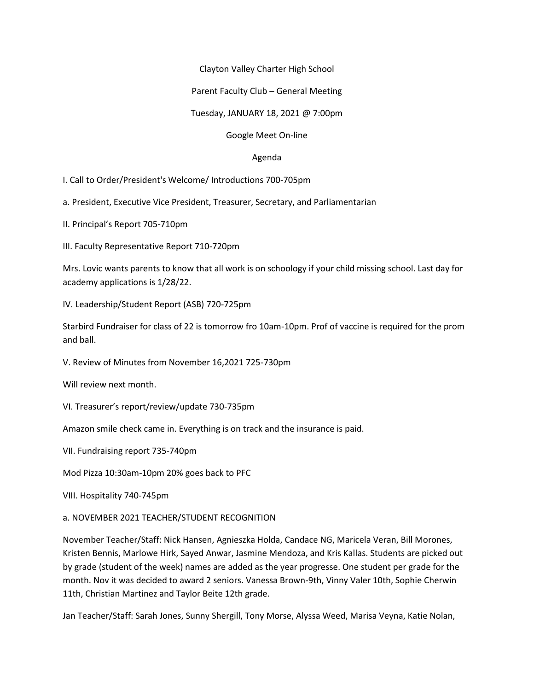## Clayton Valley Charter High School

## Parent Faculty Club – General Meeting

Tuesday, JANUARY 18, 2021 @ 7:00pm

## Google Meet On-line

## Agenda

I. Call to Order/President's Welcome/ Introductions 700-705pm

a. President, Executive Vice President, Treasurer, Secretary, and Parliamentarian

II. Principal's Report 705-710pm

III. Faculty Representative Report 710-720pm

Mrs. Lovic wants parents to know that all work is on schoology if your child missing school. Last day for academy applications is 1/28/22.

IV. Leadership/Student Report (ASB) 720-725pm

Starbird Fundraiser for class of 22 is tomorrow fro 10am-10pm. Prof of vaccine is required for the prom and ball.

V. Review of Minutes from November 16,2021 725-730pm

Will review next month.

VI. Treasurer's report/review/update 730-735pm

Amazon smile check came in. Everything is on track and the insurance is paid.

VII. Fundraising report 735-740pm

Mod Pizza 10:30am-10pm 20% goes back to PFC

VIII. Hospitality 740-745pm

a. NOVEMBER 2021 TEACHER/STUDENT RECOGNITION

November Teacher/Staff: Nick Hansen, Agnieszka Holda, Candace NG, Maricela Veran, Bill Morones, Kristen Bennis, Marlowe Hirk, Sayed Anwar, Jasmine Mendoza, and Kris Kallas. Students are picked out by grade (student of the week) names are added as the year progresse. One student per grade for the month. Nov it was decided to award 2 seniors. Vanessa Brown-9th, Vinny Valer 10th, Sophie Cherwin 11th, Christian Martinez and Taylor Beite 12th grade.

Jan Teacher/Staff: Sarah Jones, Sunny Shergill, Tony Morse, Alyssa Weed, Marisa Veyna, Katie Nolan,